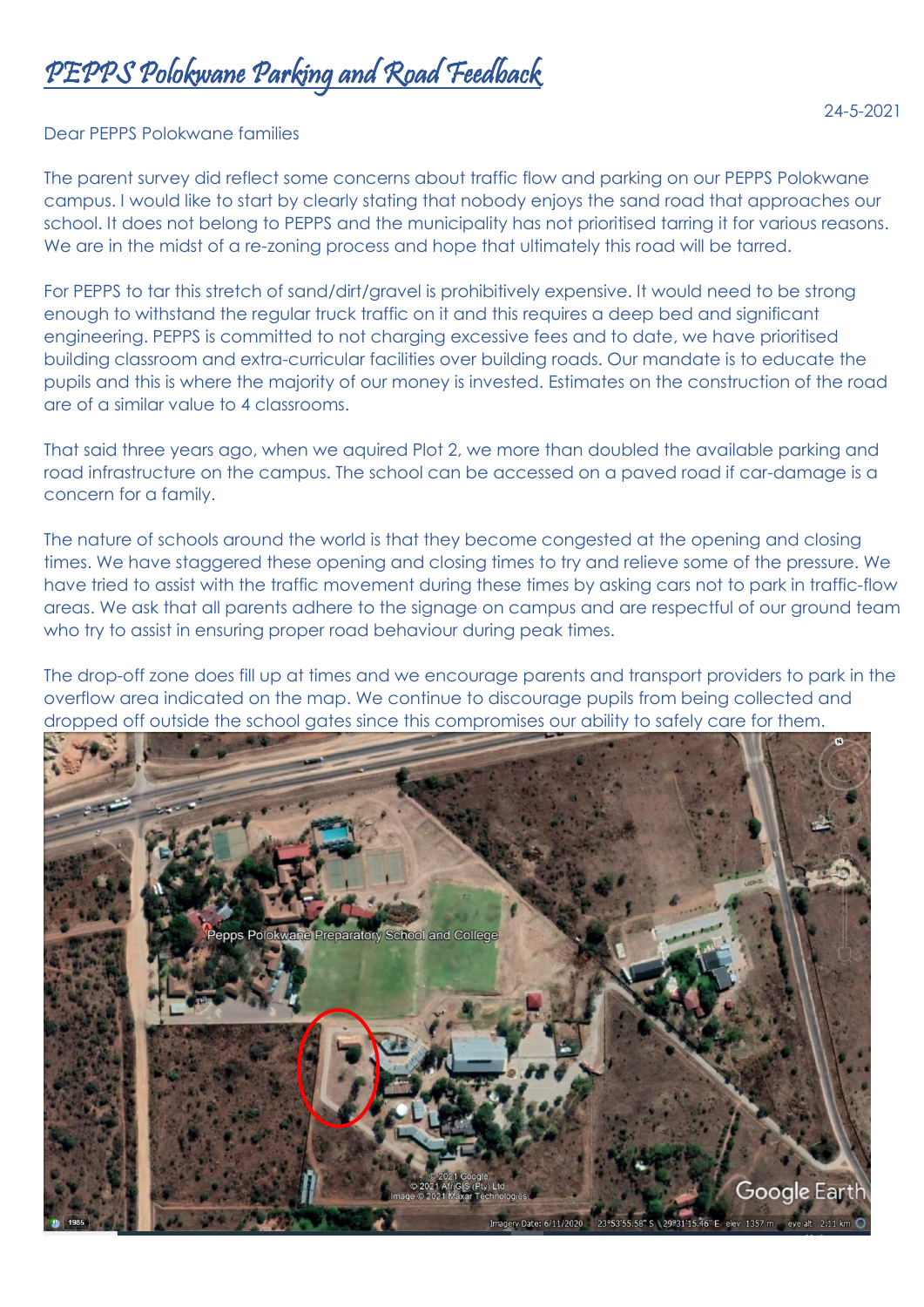

## Dear PEPPS Polokwane families

The parent survey did reflect some concerns about traffic flow and parking on our PEPPS Polokwane campus. I would like to start by clearly stating that nobody enjoys the sand road that approaches our school. It does not belong to PEPPS and the municipality has not prioritised tarring it for various reasons. We are in the midst of a re-zoning process and hope that ultimately this road will be tarred.

For PEPPS to tar this stretch of sand/dirt/gravel is prohibitively expensive. It would need to be strong enough to withstand the regular truck traffic on it and this requires a deep bed and significant engineering. PEPPS is committed to not charging excessive fees and to date, we have prioritised building classroom and extra-curricular facilities over building roads. Our mandate is to educate the pupils and this is where the majority of our money is invested. Estimates on the construction of the road are of a similar value to 4 classrooms.

That said three years ago, when we aquired Plot 2, we more than doubled the available parking and road infrastructure on the campus. The school can be accessed on a paved road if car-damage is a concern for a family.

The nature of schools around the world is that they become congested at the opening and closing times. We have staggered these opening and closing times to try and relieve some of the pressure. We have tried to assist with the traffic movement during these times by asking cars not to park in traffic-flow areas. We ask that all parents adhere to the signage on campus and are respectful of our ground team who try to assist in ensuring proper road behaviour during peak times.

The drop-off zone does fill up at times and we encourage parents and transport providers to park in the overflow area indicated on the map. We continue to discourage pupils from being collected and dropped off outside the school gates since this compromises our ability to safely care for them.